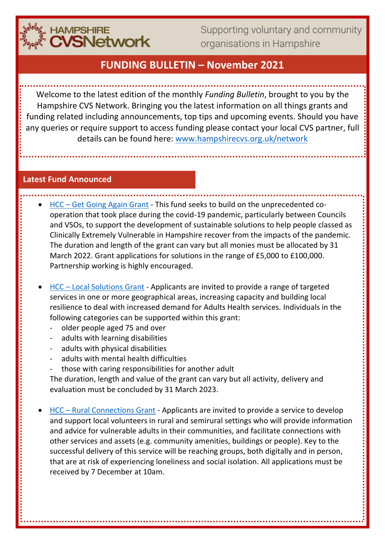

Supporting voluntary and community organisations in Hampshire

# **FUNDING BULLETIN – November 2021**

Welcome to the latest edition of the monthly *Funding Bulletin*, brought to you by the Hampshire CVS Network. Bringing you the latest information on all things grants and funding related including announcements, top tips and upcoming events. Should you have any queries or require support to access funding please contact your local CVS partner, full details can be found here: [www.hampshirecvs.org.uk/network](http://www.hampshirecvs.org.uk/network)

#### **Latest Fund Announced**

- HCC [Get Going Again Grant](https://www.hants.gov.uk/community/grants/grants-list/get-going-again) This fund seeks to build on the unprecedented cooperation that took place during the covid-19 pandemic, particularly between Councils and VSOs, to support the development of sustainable solutions to help people classed as Clinically Extremely Vulnerable in Hampshire recover from the impacts of the pandemic. The duration and length of the grant can vary but all monies must be allocated by 31 March 2022. Grant applications for solutions in the range of £5,000 to £100,000. Partnership working is highly encouraged.
- HCC [Local Solutions Grant](https://www.hants.gov.uk/community/grants/grants-list/local-solutions-grants/local-solutions-grant) Applicants are invited to provide a range of targeted services in one or more geographical areas, increasing capacity and building local resilience to deal with increased demand for Adults Health services. Individuals in the following categories can be supported within this grant:
	- older people aged 75 and over
	- adults with learning disabilities
	- adults with physical disabilities
	- adults with mental health difficulties
	- those with caring responsibilities for another adult

The duration, length and value of the grant can vary but all activity, delivery and evaluation must be concluded by 31 March 2023.

• HCC – [Rural Connections Grant](https://www.hants.gov.uk/community/grants/grants-list/rural-connections-grant) - Applicants are invited to provide a service to develop and support local volunteers in rural and semirural settings who will provide information and advice for vulnerable adults in their communities, and facilitate connections with other services and assets (e.g. community amenities, buildings or people). Key to the successful delivery of this service will be reaching groups, both digitally and in person, that are at risk of experiencing loneliness and social isolation. All applications must be received by 7 December at 10am.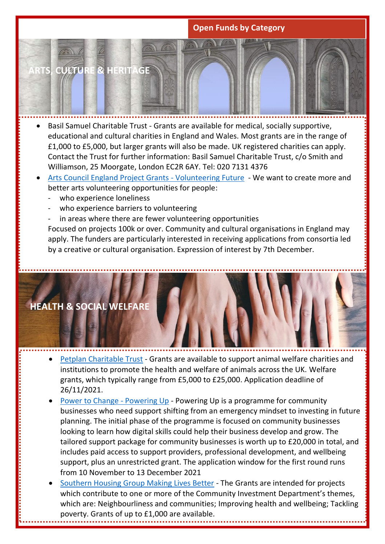### **Open Funds by Category**

**ARTS, CULTURE & HERITAGE**

- Basil Samuel Charitable Trust Grants are available for medical, socially supportive, educational and cultural charities in England and Wales. Most grants are in the range of £1,000 to £5,000, but larger grants will also be made. UK registered charities can apply. Contact the Trust for further information: Basil Samuel Charitable Trust, c/o Smith and Williamson, 25 Moorgate, London EC2R 6AY. Tel: 020 7131 4376
- [Arts Council England Project Grants -](http://www.artscouncil.org.uk/arts-council-national-lottery-project-grants/project-grants-time-limited-priorities) Volunteering Future We want to create more and better arts volunteering opportunities for people:
	- who experience loneliness
	- who experience barriers to volunteering
	- in areas where there are fewer volunteering opportunities

Focused on projects 100k or over. Community and cultural organisations in England may apply. The funders are particularly interested in receiving applications from consortia led by a creative or cultural organisation. Expression of interest by 7th December.



- Petplan [Charitable Trust](https://petplancharitabletrust.org.uk/) Grants are available to support animal welfare charities and institutions to promote the health and welfare of animals across the UK. Welfare grants, which typically range from £5,000 to £25,000. Application deadline of 26/11/2021.
- [Power to Change -](https://www.powertochange.org.uk/our-work/our-programmes/powering-up) Powering Up Powering Up is a programme for community businesses who need support shifting from an emergency mindset to investing in future planning. The initial phase of the programme is focused on community businesses looking to learn how digital skills could help their business develop and grow. The tailored support package for community businesses is worth up to £20,000 in total, and includes paid access to support providers, professional development, and wellbeing support, plus an unrestricted grant. The application window for the first round runs from 10 November to 13 December 2021
- [Southern Housing Group Making Lives Better](https://www.resourcecentre.org.uk/information/southern-housing-foundation/) The Grants are intended for projects which contribute to one or more of the Community Investment Department's themes, which are: Neighbourliness and communities; Improving health and wellbeing; Tackling poverty. Grants of up to £1,000 are available.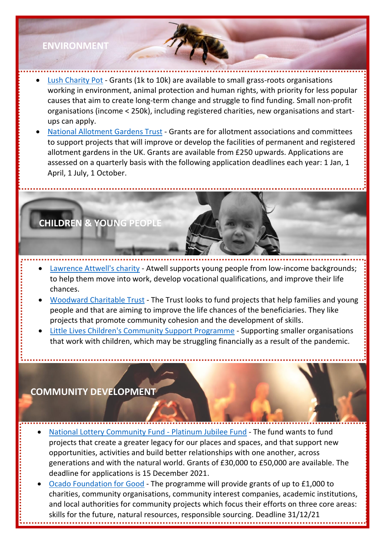## **ENVIRONMENT**

- **[Lush Charity Pot](https://weare.lush.com/lush-life/our-giving/charity-pot/) Grants (1k to 10k) are available to small grass-roots organisations** working in environment, animal protection and human rights, with priority for less popular causes that aim to create long-term change and struggle to find funding. Small non-profit organisations (income < 250k), including registered charities, new organisations and startups can apply.
- [National Allotment Gardens Trust](https://nagtrust.co.uk/) Grants are for allotment associations and committees to support projects that will improve or develop the facilities of permanent and registered allotment gardens in the UK. Grants are available from £250 upwards. Applications are assessed on a quarterly basis with the following application deadlines each year: 1 Jan, 1 April, 1 July, 1 October.

# **CHILDREN & YOUNG PEOPLE**

- **[Lawrence Attwell's charity](https://www.skinners.org.uk/atwell/) Atwell supports young people from low-income backgrounds;** to help them move into work, develop vocational qualifications, and improve their life chances.
- [Woodward Charitable Trust](http://woodwardcharitabletrust.org.uk/) The Trust looks to fund projects that help families and young people and that are aiming to improve the life chances of the beneficiaries. They like projects that promote community cohesion and the development of skills.
- [Little Lives Children's Community Support Programme](https://www.littlelives.org.uk/our-campaigns/childrens-community-support-programme/) Supporting smaller organisations that work with children, which may be struggling financially as a result of the pandemic.

## **COMMUNITY DEVELOPMENT**

- [National Lottery Community Fund -](https://www.tnlcommunityfund.org.uk/funding/programmes/the-platinum-jubilee-fund) Platinum Jubilee Fund The fund wants to fund projects that create a greater legacy for our places and spaces, and that support new opportunities, activities and build better relationships with one another, across generations and with the natural world. Grants of £30,000 to £50,000 are available. The deadline for applications is 15 December 2021.
- [Ocado Foundation for Good](https://mfip.org.uk/2021/03/24/ocado-foundation-for-good-31st-december-2021-uk/) The programme will provide grants of up to £1,000 to charities, community organisations, community interest companies, academic institutions, and local authorities for community projects which focus their efforts on three core areas: skills for the future, natural resources, responsible sourcing. Deadline 31/12/21